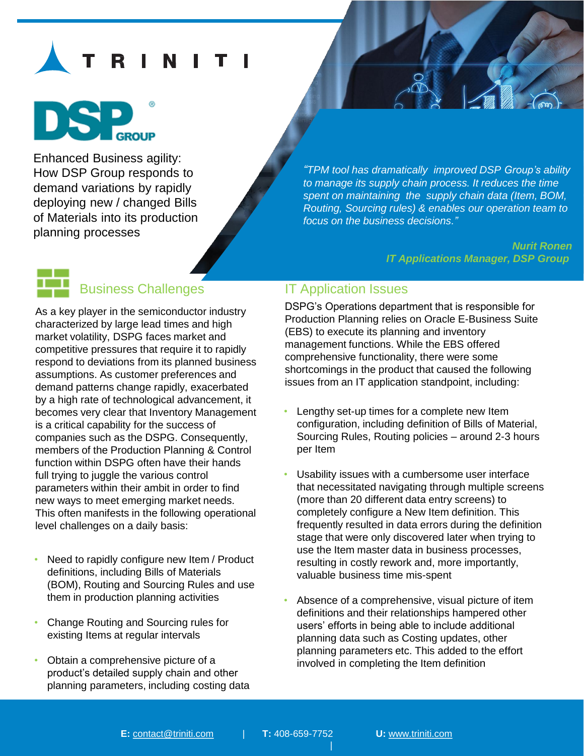# I N



Enhanced Business agility: How DSP Group responds to demand variations by rapidly deploying new / changed Bills of Materials into its production planning processes

*"TPM tool has dramatically improved DSP Group's ability to manage its supply chain process. It reduces the time spent on maintaining the supply chain data (Item, BOM, Routing, Sourcing rules) & enables our operation team to focus on the business decisions."*

> *Nurit Ronen IT Applications Manager, DSP Group*

# Business Challenges

As a key player in the semiconductor industry characterized by large lead times and high market volatility, DSPG faces market and competitive pressures that require it to rapidly respond to deviations from its planned business assumptions. As customer preferences and demand patterns change rapidly, exacerbated by a high rate of technological advancement, it becomes very clear that Inventory Management is a critical capability for the success of companies such as the DSPG. Consequently, members of the Production Planning & Control function within DSPG often have their hands full trying to juggle the various control parameters within their ambit in order to find new ways to meet emerging market needs. This often manifests in the following operational level challenges on a daily basis:

- Need to rapidly configure new Item / Product definitions, including Bills of Materials (BOM), Routing and Sourcing Rules and use them in production planning activities
- Change Routing and Sourcing rules for existing Items at regular intervals
- Obtain a comprehensive picture of a product's detailed supply chain and other planning parameters, including costing data

### IT Application Issues

DSPG's Operations department that is responsible for Production Planning relies on Oracle E-Business Suite (EBS) to execute its planning and inventory management functions. While the EBS offered comprehensive functionality, there were some shortcomings in the product that caused the following issues from an IT application standpoint, including:

- Lengthy set-up times for a complete new Item configuration, including definition of Bills of Material, Sourcing Rules, Routing policies – around 2-3 hours per Item
- Usability issues with a cumbersome user interface that necessitated navigating through multiple screens (more than 20 different data entry screens) to completely configure a New Item definition. This frequently resulted in data errors during the definition stage that were only discovered later when trying to use the Item master data in business processes, resulting in costly rework and, more importantly, valuable business time mis-spent
- Absence of a comprehensive, visual picture of item definitions and their relationships hampered other users' efforts in being able to include additional planning data such as Costing updates, other planning parameters etc. This added to the effort involved in completing the Item definition

|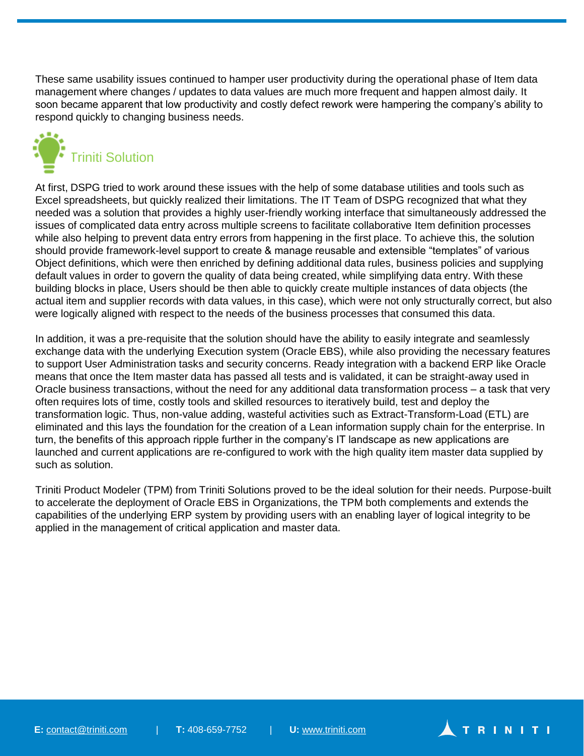These same usability issues continued to hamper user productivity during the operational phase of Item data management where changes / updates to data values are much more frequent and happen almost daily. It soon became apparent that low productivity and costly defect rework were hampering the company's ability to respond quickly to changing business needs.



At first, DSPG tried to work around these issues with the help of some database utilities and tools such as Excel spreadsheets, but quickly realized their limitations. The IT Team of DSPG recognized that what they needed was a solution that provides a highly user-friendly working interface that simultaneously addressed the issues of complicated data entry across multiple screens to facilitate collaborative Item definition processes while also helping to prevent data entry errors from happening in the first place. To achieve this, the solution should provide framework-level support to create & manage reusable and extensible "templates" of various Object definitions, which were then enriched by defining additional data rules, business policies and supplying default values in order to govern the quality of data being created, while simplifying data entry. With these building blocks in place, Users should be then able to quickly create multiple instances of data objects (the actual item and supplier records with data values, in this case), which were not only structurally correct, but also were logically aligned with respect to the needs of the business processes that consumed this data.

In addition, it was a pre-requisite that the solution should have the ability to easily integrate and seamlessly exchange data with the underlying Execution system (Oracle EBS), while also providing the necessary features to support User Administration tasks and security concerns. Ready integration with a backend ERP like Oracle means that once the Item master data has passed all tests and is validated, it can be straight-away used in Oracle business transactions, without the need for any additional data transformation process – a task that very often requires lots of time, costly tools and skilled resources to iteratively build, test and deploy the transformation logic. Thus, non-value adding, wasteful activities such as Extract-Transform-Load (ETL) are eliminated and this lays the foundation for the creation of a Lean information supply chain for the enterprise. In turn, the benefits of this approach ripple further in the company's IT landscape as new applications are launched and current applications are re-configured to work with the high quality item master data supplied by such as solution.

Triniti Product Modeler (TPM) from Triniti Solutions proved to be the ideal solution for their needs. Purpose-built to accelerate the deployment of Oracle EBS in Organizations, the TPM both complements and extends the capabilities of the underlying ERP system by providing users with an enabling layer of logical integrity to be applied in the management of critical application and master data.

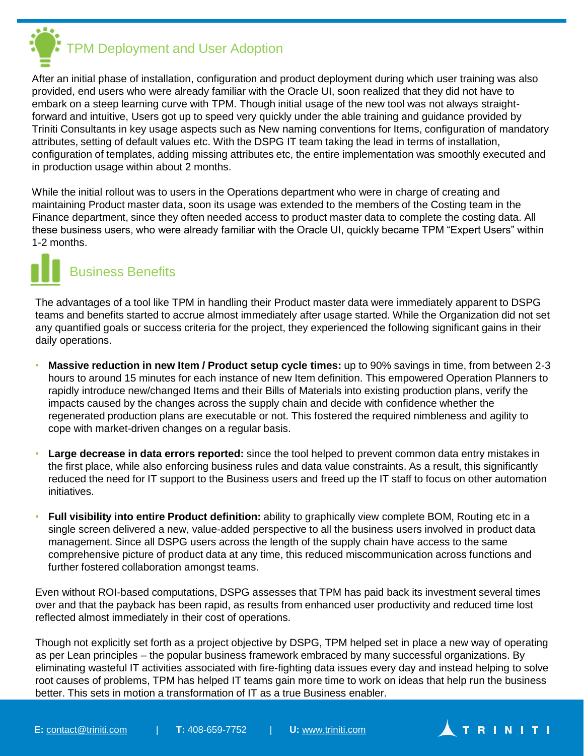

After an initial phase of installation, configuration and product deployment during which user training was also provided, end users who were already familiar with the Oracle UI, soon realized that they did not have to embark on a steep learning curve with TPM. Though initial usage of the new tool was not always straightforward and intuitive, Users got up to speed very quickly under the able training and guidance provided by Triniti Consultants in key usage aspects such as New naming conventions for Items, configuration of mandatory attributes, setting of default values etc. With the DSPG IT team taking the lead in terms of installation, configuration of templates, adding missing attributes etc, the entire implementation was smoothly executed and in production usage within about 2 months.

While the initial rollout was to users in the Operations department who were in charge of creating and maintaining Product master data, soon its usage was extended to the members of the Costing team in the Finance department, since they often needed access to product master data to complete the costing data. All these business users, who were already familiar with the Oracle UI, quickly became TPM "Expert Users" within 1-2 months.



# Business Benefits

The advantages of a tool like TPM in handling their Product master data were immediately apparent to DSPG teams and benefits started to accrue almost immediately after usage started. While the Organization did not set any quantified goals or success criteria for the project, they experienced the following significant gains in their daily operations.

- **Massive reduction in new Item / Product setup cycle times:** up to 90% savings in time, from between 2-3 hours to around 15 minutes for each instance of new Item definition. This empowered Operation Planners to rapidly introduce new/changed Items and their Bills of Materials into existing production plans, verify the impacts caused by the changes across the supply chain and decide with confidence whether the regenerated production plans are executable or not. This fostered the required nimbleness and agility to cope with market-driven changes on a regular basis.
- **Large decrease in data errors reported:** since the tool helped to prevent common data entry mistakes in the first place, while also enforcing business rules and data value constraints. As a result, this significantly reduced the need for IT support to the Business users and freed up the IT staff to focus on other automation initiatives.
- **Full visibility into entire Product definition:** ability to graphically view complete BOM, Routing etc in a single screen delivered a new, value-added perspective to all the business users involved in product data management. Since all DSPG users across the length of the supply chain have access to the same comprehensive picture of product data at any time, this reduced miscommunication across functions and further fostered collaboration amongst teams.

Even without ROI-based computations, DSPG assesses that TPM has paid back its investment several times over and that the payback has been rapid, as results from enhanced user productivity and reduced time lost reflected almost immediately in their cost of operations.

Though not explicitly set forth as a project objective by DSPG, TPM helped set in place a new way of operating as per Lean principles – the popular business framework embraced by many successful organizations. By eliminating wasteful IT activities associated with fire-fighting data issues every day and instead helping to solve root causes of problems, TPM has helped IT teams gain more time to work on ideas that help run the business better. This sets in motion a transformation of IT as a true Business enabler.